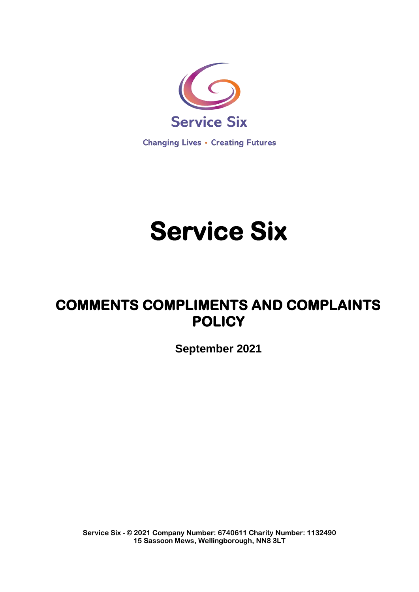

**Changing Lives • Creating Futures** 

# **Service Six**

# **COMMENTS COMPLIMENTS AND COMPLAINTS POLICY**

**September 2021**

**Service Six - © 2021 Company Number: 6740611 Charity Number: 1132490 15 Sassoon Mews, Wellingborough, NN8 3LT**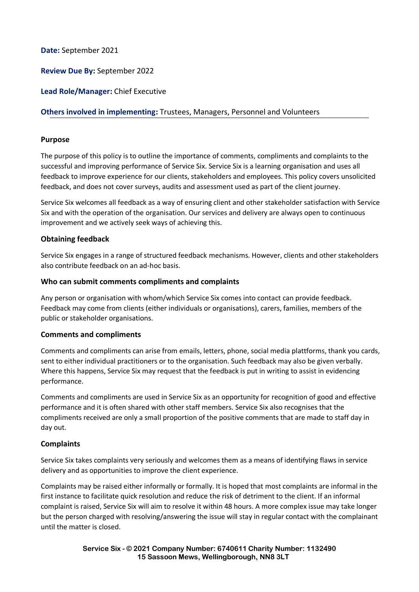**Date:** September 2021

**Review Due By:** September 2022

**Lead Role/Manager:** Chief Executive

# **Others involved in implementing:** Trustees, Managers, Personnel and Volunteers

#### **Purpose**

The purpose of this policy is to outline the importance of comments, compliments and complaints to the successful and improving performance of Service Six. Service Six is a learning organisation and uses all feedback to improve experience for our clients, stakeholders and employees. This policy covers unsolicited feedback, and does not cover surveys, audits and assessment used as part of the client journey.

Service Six welcomes all feedback as a way of ensuring client and other stakeholder satisfaction with Service Six and with the operation of the organisation. Our services and delivery are always open to continuous improvement and we actively seek ways of achieving this.

#### **Obtaining feedback**

Service Six engages in a range of structured feedback mechanisms. However, clients and other stakeholders also contribute feedback on an ad-hoc basis.

#### **Who can submit comments compliments and complaints**

Any person or organisation with whom/which Service Six comes into contact can provide feedback. Feedback may come from clients (either individuals or organisations), carers, families, members of the public or stakeholder organisations.

#### **Comments and compliments**

Comments and compliments can arise from emails, letters, phone, social media plattforms, thank you cards, sent to either individual practitioners or to the organisation. Such feedback may also be given verbally. Where this happens, Service Six may request that the feedback is put in writing to assist in evidencing performance.

Comments and compliments are used in Service Six as an opportunity for recognition of good and effective performance and it is often shared with other staff members. Service Six also recognises that the compliments received are only a small proportion of the positive comments that are made to staff day in day out.

#### **Complaints**

Service Six takes complaints very seriously and welcomes them as a means of identifying flaws in service delivery and as opportunities to improve the client experience.

Complaints may be raised either informally or formally. It is hoped that most complaints are informal in the first instance to facilitate quick resolution and reduce the risk of detriment to the client. If an informal complaint is raised, Service Six will aim to resolve it within 48 hours. A more complex issue may take longer but the person charged with resolving/answering the issue will stay in regular contact with the complainant until the matter is closed.

> **Service Six - © 2021 Company Number: 6740611 Charity Number: 1132490 15 Sassoon Mews, Wellingborough, NN8 3LT**